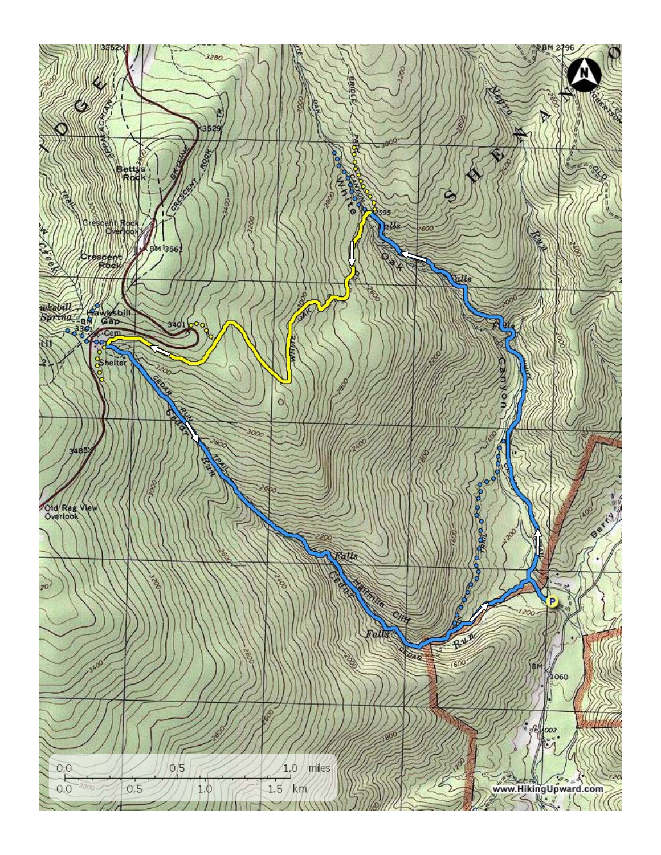